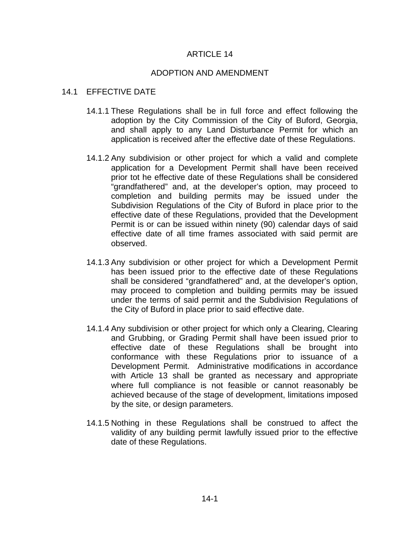## ARTICLE 14

## ADOPTION AND AMENDMENT

# 14.1 EFFECTIVE DATE

- 14.1.1 These Regulations shall be in full force and effect following the adoption by the City Commission of the City of Buford, Georgia, and shall apply to any Land Disturbance Permit for which an application is received after the effective date of these Regulations.
- 14.1.2 Any subdivision or other project for which a valid and complete application for a Development Permit shall have been received prior tot he effective date of these Regulations shall be considered "grandfathered" and, at the developer's option, may proceed to completion and building permits may be issued under the Subdivision Regulations of the City of Buford in place prior to the effective date of these Regulations, provided that the Development Permit is or can be issued within ninety (90) calendar days of said effective date of all time frames associated with said permit are observed.
- 14.1.3 Any subdivision or other project for which a Development Permit has been issued prior to the effective date of these Regulations shall be considered "grandfathered" and, at the developer's option, may proceed to completion and building permits may be issued under the terms of said permit and the Subdivision Regulations of the City of Buford in place prior to said effective date.
- 14.1.4 Any subdivision or other project for which only a Clearing, Clearing and Grubbing, or Grading Permit shall have been issued prior to effective date of these Regulations shall be brought into conformance with these Regulations prior to issuance of a Development Permit. Administrative modifications in accordance with Article 13 shall be granted as necessary and appropriate where full compliance is not feasible or cannot reasonably be achieved because of the stage of development, limitations imposed by the site, or design parameters.
- 14.1.5 Nothing in these Regulations shall be construed to affect the validity of any building permit lawfully issued prior to the effective date of these Regulations.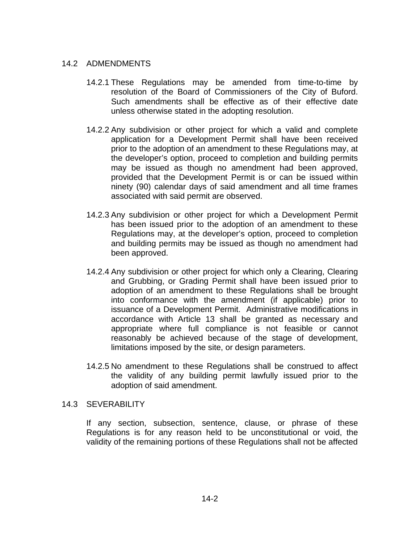# 14.2 ADMENDMENTS

- 14.2.1 These Regulations may be amended from time-to-time by resolution of the Board of Commissioners of the City of Buford. Such amendments shall be effective as of their effective date unless otherwise stated in the adopting resolution.
- 14.2.2 Any subdivision or other project for which a valid and complete application for a Development Permit shall have been received prior to the adoption of an amendment to these Regulations may, at the developer's option, proceed to completion and building permits may be issued as though no amendment had been approved, provided that the Development Permit is or can be issued within ninety (90) calendar days of said amendment and all time frames associated with said permit are observed.
- 14.2.3 Any subdivision or other project for which a Development Permit has been issued prior to the adoption of an amendment to these Regulations may, at the developer's option, proceed to completion and building permits may be issued as though no amendment had been approved.
- 14.2.4 Any subdivision or other project for which only a Clearing, Clearing and Grubbing, or Grading Permit shall have been issued prior to adoption of an amendment to these Regulations shall be brought into conformance with the amendment (if applicable) prior to issuance of a Development Permit. Administrative modifications in accordance with Article 13 shall be granted as necessary and appropriate where full compliance is not feasible or cannot reasonably be achieved because of the stage of development, limitations imposed by the site, or design parameters.
- 14.2.5 No amendment to these Regulations shall be construed to affect the validity of any building permit lawfully issued prior to the adoption of said amendment.

### 14.3 SEVERABILITY

If any section, subsection, sentence, clause, or phrase of these Regulations is for any reason held to be unconstitutional or void, the validity of the remaining portions of these Regulations shall not be affected